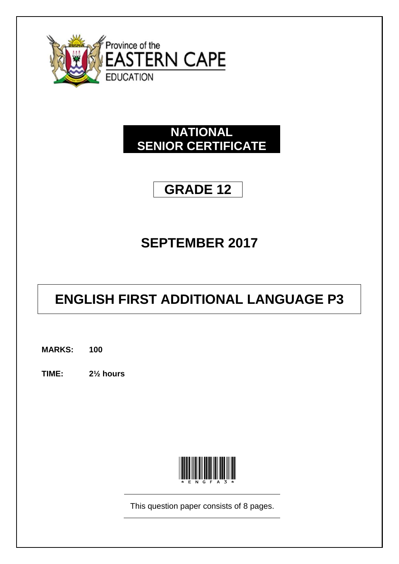

## **NATIONAL SENIOR CERTIFICATE**

## **GRADE 12**

## **SEPTEMBER 2017**

# **ENGLISH FIRST ADDITIONAL LANGUAGE P3**

**MARKS: 100**

**TIME: 2½ hours**



This question paper consists of 8 pages.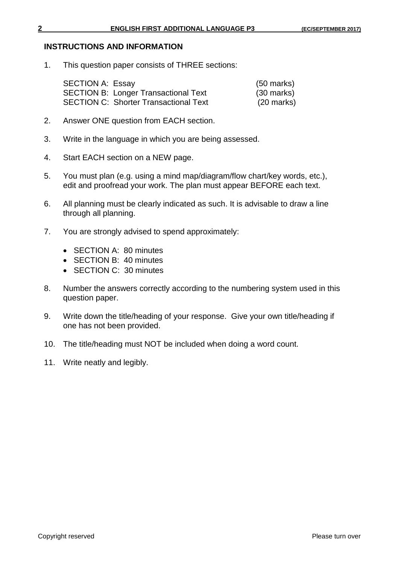## **INSTRUCTIONS AND INFORMATION**

1. This question paper consists of THREE sections:

| <b>SECTION A: Essay</b>                      | $(50 \text{ marks})$ |
|----------------------------------------------|----------------------|
| <b>SECTION B: Longer Transactional Text</b>  | $(30 \text{ marks})$ |
| <b>SECTION C: Shorter Transactional Text</b> | $(20 \text{ marks})$ |

- 2. Answer ONE question from EACH section.
- 3. Write in the language in which you are being assessed.
- 4. Start EACH section on a NEW page.
- 5. You must plan (e.g. using a mind map/diagram/flow chart/key words, etc.), edit and proofread your work. The plan must appear BEFORE each text.
- 6. All planning must be clearly indicated as such. It is advisable to draw a line through all planning.
- 7. You are strongly advised to spend approximately:
	- SECTION A: 80 minutes
	- SECTION B: 40 minutes
	- SECTION C: 30 minutes
- 8. Number the answers correctly according to the numbering system used in this question paper.
- 9. Write down the title/heading of your response. Give your own title/heading if one has not been provided.
- 10. The title/heading must NOT be included when doing a word count.
- 11. Write neatly and legibly.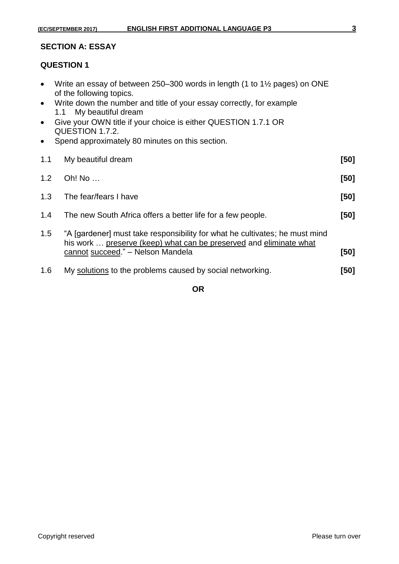## **SECTION A: ESSAY**

## **QUESTION 1**

- Write an essay of between 250–300 words in length (1 to 1½ pages) on ONE of the following topics.
- Write down the number and title of your essay correctly, for example 1.1 My beautiful dream
- Give your OWN title if your choice is either QUESTION 1.7.1 OR QUESTION 1.7.2.
- Spend approximately 80 minutes on this section.

| 1.1 | My beautiful dream                                                                                                                                                                     | [50]   |
|-----|----------------------------------------------------------------------------------------------------------------------------------------------------------------------------------------|--------|
| 1.2 | Oh! No                                                                                                                                                                                 | [50]   |
| 1.3 | The fear/fears I have                                                                                                                                                                  | $[50]$ |
| 1.4 | The new South Africa offers a better life for a few people.                                                                                                                            | [50]   |
| 1.5 | "A [gardener] must take responsibility for what he cultivates; he must mind<br>his work  preserve (keep) what can be preserved and eliminate what<br>cannot succeed." - Nelson Mandela | [50]   |
| 1.6 | My solutions to the problems caused by social networking.                                                                                                                              | [50]   |

**OR**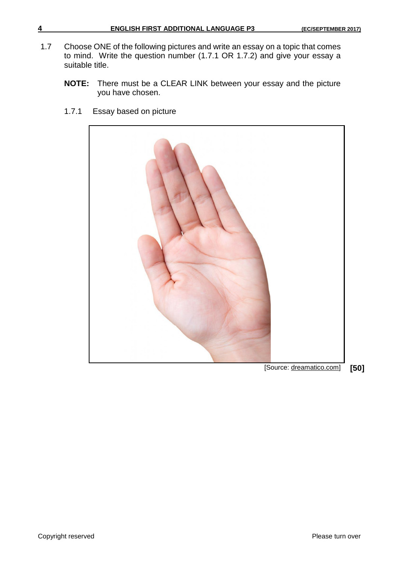- 1.7 Choose ONE of the following pictures and write an essay on a topic that comes to mind. Write the question number (1.7.1 OR 1.7.2) and give your essay a suitable title.
	- **NOTE:** There must be a CLEAR LINK between your essay and the picture you have chosen.
		- [Source: dreamatico.com] **[50]**
	- 1.7.1 Essay based on picture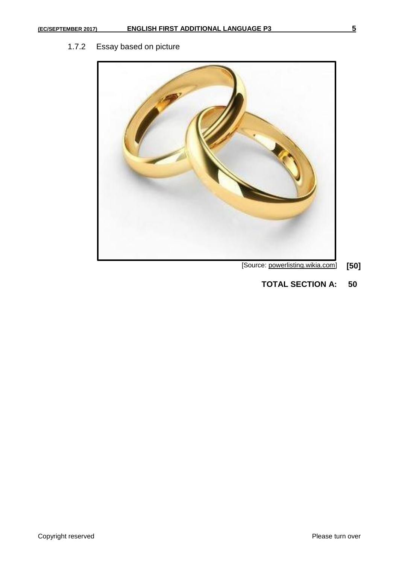## 1.7.2 Essay based on picture



## [Source: powerlisting.wikia.com] **[50]**

**TOTAL SECTION A: 50**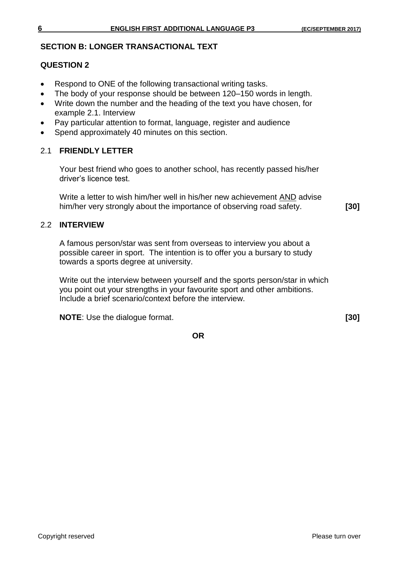#### **SECTION B: LONGER TRANSACTIONAL TEXT**

## **QUESTION 2**

- Respond to ONE of the following transactional writing tasks.
- The body of your response should be between 120–150 words in length.
- Write down the number and the heading of the text you have chosen, for example 2.1. Interview
- Pay particular attention to format, language, register and audience
- Spend approximately 40 minutes on this section.

#### 2.1 **FRIENDLY LETTER**

Your best friend who goes to another school, has recently passed his/her driver's licence test.

Write a letter to wish him/her well in his/her new achievement AND advise him/her very strongly about the importance of observing road safety. **[30]**

## 2.2 **INTERVIEW**

A famous person/star was sent from overseas to interview you about a possible career in sport. The intention is to offer you a bursary to study towards a sports degree at university.

Write out the interview between yourself and the sports person/star in which you point out your strengths in your favourite sport and other ambitions. Include a brief scenario/context before the interview.

**NOTE**: Use the dialogue format. **[30]**

**OR**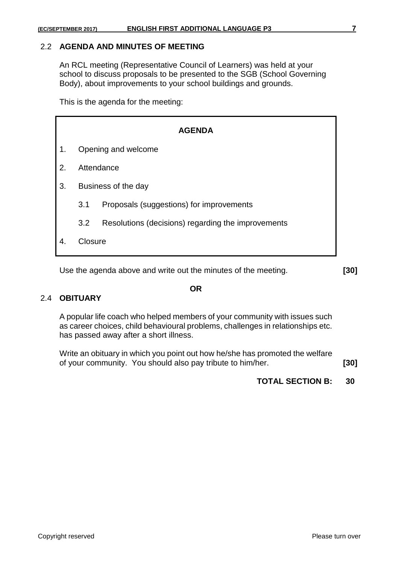## 2.2 **AGENDA AND MINUTES OF MEETING**

An RCL meeting (Representative Council of Learners) was held at your school to discuss proposals to be presented to the SGB (School Governing Body), about improvements to your school buildings and grounds.

This is the agenda for the meeting:

| <b>AGENDA</b>  |                     |                                                    |  |  |
|----------------|---------------------|----------------------------------------------------|--|--|
| 1.             |                     | Opening and welcome                                |  |  |
| 2 <sub>1</sub> | Attendance          |                                                    |  |  |
| 3.             | Business of the day |                                                    |  |  |
|                | 3.1                 | Proposals (suggestions) for improvements           |  |  |
|                | 3.2                 | Resolutions (decisions) regarding the improvements |  |  |
|                | Closure             |                                                    |  |  |

Use the agenda above and write out the minutes of the meeting. **[30]**

## 2.4 **OBITUARY**

A popular life coach who helped members of your community with issues such as career choices, child behavioural problems, challenges in relationships etc. has passed away after a short illness.

Write an obituary in which you point out how he/she has promoted the welfare of your community. You should also pay tribute to him/her. **[30]**

**TOTAL SECTION B: 30**

#### **OR**